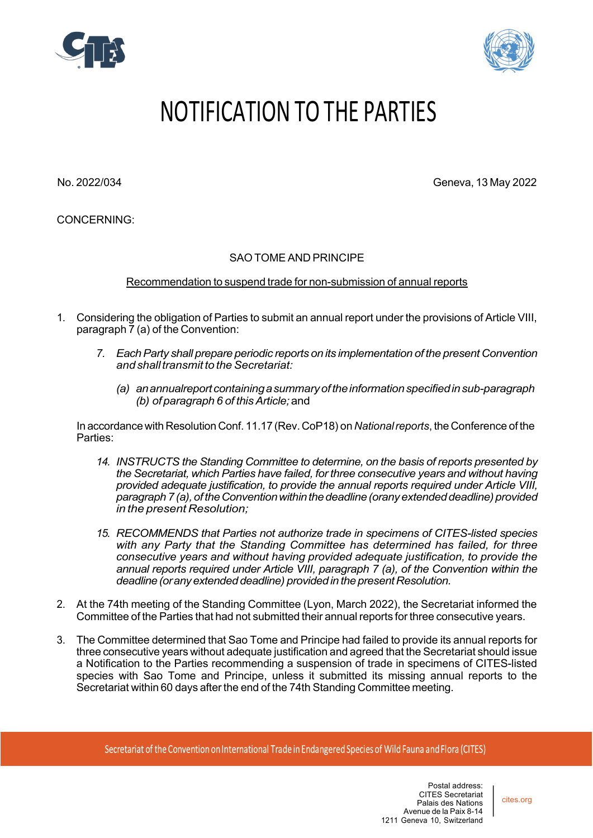



## NOTIFICATION TO THE PARTIES

No. 2022/034 Geneva, 13 May 2022

CONCERNING:

## SAO TOME AND PRINCIPE

Recommendation to suspend trade for non-submission of annual reports

- 1. Considering the obligation of Parties to submit an annual report under the provisions of Article VIII, paragraph 7 (a) of the Convention:
	- *7. EachParty shall prepare periodic reports on its implementation of the present Convention andshalltransmit to theSecretariat:*
		- *(a) anannualreportcontainingasummaryoftheinformationspecifiedinsub-paragraph (b) of paragraph 6 of thisArticle;*and

In accordance with Resolution Conf. 11.17 (Rev. CoP18) on *Nationalreports*, the Conference of the Parties:

- *14. INSTRUCTS the Standing Committee to determine, on the basis of reports presented by the Secretariat, which Parties have failed, for three consecutive years and without having provided adequate justification, to provide the annual reports required under Article VIII, paragraph 7(a),oftheConventionwithinthedeadline(oranyextendeddeadline)provided in the present Resolution;*
- *15. RECOMMENDS that Parties not authorize trade in specimens of CITES-listed species with any Party that the Standing Committee has determined has failed, for three consecutive years and without having provided adequate justification, to provide the annual reports required under Article VIII, paragraph 7 (a), of the Convention within the deadline (or any extended deadline) provided in the present Resolution.*
- 2. At the 74th meeting of the Standing Committee (Lyon, March 2022), the Secretariat informed the Committee of the Parties that had not submitted their annual reports for three consecutive years.
- 3. The Committee determined that Sao Tome and Principe had failed to provide its annual reports for three consecutive years without adequate justification and agreed that the Secretariat should issue a Notification to the Parties recommending a suspension of trade in specimens of CITES-listed species with Sao Tome and Principe, unless it submitted its missing annual reports to the Secretariat within 60 days afterthe end of the 74th Standing Committee meeting.